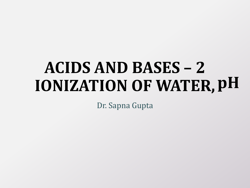#### **ACIDS AND BASES – 2 IONIZATION OF WATER, pH**

Dr. Sapna Gupta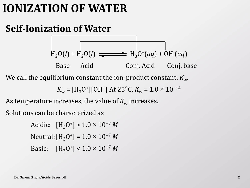#### **IONIZATION OF WATER**

#### **Self-Ionization of Water**

 $H_2O(l) + H_2O(l) \implies H_3O^+(aq) + OH^-(aq)$ Base Acid Conj. Acid Conj. base

We call the equilibrium constant the ion-product constant,  $K_{w}$ 

 $K_{\rm w}$  = [H<sub>3</sub>O<sup>+</sup>][OH<sup>-</sup>] At 25°C,  $K_{\rm w}$  = 1.0 × 10<sup>-14</sup>

As temperature increases, the value of  $K_w$  increases.

Solutions can be characterized as

Acidic:  $[H_3O^+] > 1.0 \times 10^{-7} M$ Neutral:[H3O<sup>+</sup> ] = 1.0 × 10−7 *M* Basic:  $[H_3O^+] < 1.0 \times 10^{-7} M$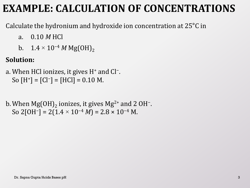#### **EXAMPLE: CALCULATION OF CONCENTRATIONS**

Calculate the hydronium and hydroxide ion concentration at 25°C in

- a. 0.10 *M* HCl
- b.  $1.4 \times 10^{-4} M \text{ Mg}(\text{OH})_2$

#### **Solution:**

- a. When HCl ionizes, it gives H<sup>+</sup> and Cl<sup>-</sup>. So  $[H^+] = [Cl^-] = [HCl] = 0.10$  M.
- b. When  $\mathrm{Mg(OH)}_{2}$  ionizes, it gives  $\mathrm{Mg^{2+}}$  and 2 OH<sup>-</sup>. So 2[OH<sup>-</sup>] = 2(1.4 × 10<sup>-4</sup> *M*) = 2.8 × 10<sup>-4</sup> M.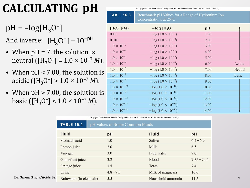# **CALCULATING pH**

 $pH = -log[H<sub>3</sub>O<sup>+</sup>]$ 

And inverse:  $[H_3O^+] = 10^{-pH}$ 

- When  $pH = 7$ , the solution is neutral ([H<sub>3</sub>O<sup>+</sup>] = 1.0 × 10<sup>-7</sup> *M*).
- When pH < 7.00, the solution is acidic ([H3O<sup>+</sup> ] > 1.0 × 10−7 *M*).
- When pH > 7.00, the solution is basic ([H3O<sup>+</sup> ] < 1.0 × 10−7 *M*).

| Copyright © The McGraw-Hill Companies, Inc. Permission required for reproduction or display. |                                                                            |       |              |  |  |  |
|----------------------------------------------------------------------------------------------|----------------------------------------------------------------------------|-------|--------------|--|--|--|
| <b>TABLE 16.3</b>                                                                            | Benchmark pH Values for a Range of Hydronium Ion<br>Concentrations at 25°C |       |              |  |  |  |
| $[H_3O^+](M)$                                                                                | $-$ log $[H_3O^+]$                                                         | pH    |              |  |  |  |
| 0.10                                                                                         | $-\log(1.0 \times 10^{-1})$                                                | 1.00  |              |  |  |  |
| 0.010                                                                                        | $-\log(1.0 \times 10^{-2})$                                                | 2.00  |              |  |  |  |
| $1.0 \times 10^{-3}$                                                                         | $-\log(1.0 \times 10^{-3})$                                                | 3.00  |              |  |  |  |
| $1.0 \times 10^{-4}$                                                                         | $-\log(1.0 \times 10^{-4})$                                                | 4.00  |              |  |  |  |
| $1.0 \times 10^{-5}$                                                                         | $-\log(1.0 \times 10^{-5})$                                                | 5.00  |              |  |  |  |
| $1.0 \times 10^{-6}$                                                                         | $-\log(1.0 \times 10^{-6})$                                                | 6.00  | Acidic       |  |  |  |
| $1.0 \times 10^{-7}$                                                                         | $-\log(1.0 \times 10^{-7})$                                                | 7.00  | Neutral      |  |  |  |
| $1.0 \times 10^{-8}$                                                                         | $-\log(1.0 \times 10^{-8})$                                                | 8.00  | <b>Basic</b> |  |  |  |
| $1.0 \times 10^{-9}$                                                                         | $-\log(1.0 \times 10^{-9})$                                                | 9.00  |              |  |  |  |
| $1.0 \times 10^{-10}$                                                                        | $-\log(1.0 \times 10^{-10})$                                               | 10.00 |              |  |  |  |
| $1.0 \times 10^{-11}$                                                                        | $-\log(1.0 \times 10^{-11})$                                               | 11.00 |              |  |  |  |
| $1.0 \times 10^{-12}$                                                                        | $-\log(1.0 \times 10^{-12})$                                               | 12.00 |              |  |  |  |
| $1.0 \times 10^{-13}$                                                                        | $-\log(1.0 \times 10^{-13})$                                               | 13.00 |              |  |  |  |
| $1.0 \times 10^{-14}$                                                                        | $-\log(1.0 \times 10^{-14})$                                               | 14.00 |              |  |  |  |

Copyright © The McGraw-Hill Companies, Inc. Permission required for reproduction or display.

|                           | <b>TABLE 16.4</b>        | pH Values of Some Common Fluids |                   |               |
|---------------------------|--------------------------|---------------------------------|-------------------|---------------|
|                           | <b>Fluid</b>             | pH                              | <b>Fluid</b>      | pH            |
|                           | Stomach acid             | 1.0                             | Saliva            | $6.4 - 6.9$   |
|                           | Lemon juice              | 2.0                             | Milk              | 6.5           |
|                           | Vinegar                  | 3.0                             | Pure water        | 7.0           |
|                           | Grapefruit juice         | 3.2                             | <b>Blood</b>      | $7.35 - 7.45$ |
|                           | Orange juice             | 3.5                             | <b>Tears</b>      | 7.4           |
|                           | Urine                    | $4.8 - 7.5$                     | Milk of magnesia  | 10.6          |
| Dr. Sapna Gupta/Acids Bas | Rainwater (in clean air) | 5.5                             | Household ammonia | 11.5          |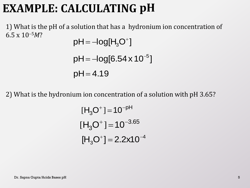## **EXAMPLE: CALCULATING pH**

1) What is the pH of a solution that has a hydronium ion concentration of  $6.5 \times 10^{-5}$ *M*?

$$
pH = -log[H3O+]
$$
  
 
$$
pH = -log[6.54 \times 10^{-5}]
$$
  
 
$$
pH = 4.19
$$

2) What is the hydronium ion concentration of a solution with pH 3.65?

$$
[H_3O^+] = 10^{-pH}
$$
  

$$
[H_3O^+] = 10^{-3.65}
$$
  

$$
[H_3O^+] = 2.2 \times 10^{-4}
$$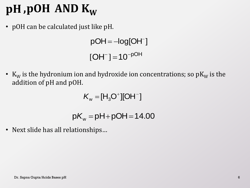# $pH$  ,  $pOH$   $AND$   $K_W$

• pOH can be calculated just like pH.

 $pOH = -log[OH^-]$  $[OH^-] = 10^{-pOH}$ 

•  $K_W$  is the hydronium ion and hydroxide ion concentrations; so p $K_W$  is the addition of pH and pOH.

> $w = 113$  $K_w = [H_3O^+] [OH^-]$

 $K_{\text{w}} = [H_3O^+][OH^-]$ <br>p $K_{\text{w}} =$ pH+pOH=14.00

• Next slide has all relationships…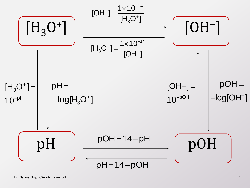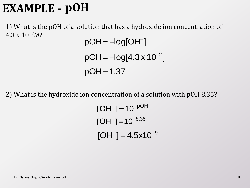## **EXAMPLE - pOH**

1) What is the pOH of a solution that has a hydroxide ion concentration of  $4.3 \times 10^{-2}$ *M*?

pOH = –log[OH<sup>-</sup> ]<br>pOH = –log[4.3 x<br>pOH = 1.37  $=-log[OH^{-}$  $pOH = -log[4.3 \times 10^{-2}]$ 

2) What is the hydroxide ion concentration of a solution with pOH 8.35?

 $[OH^-] = 10^{-pOH}$ .  $[OH^-] = 10^{-8.35}$  $[OH^-] = 4.5 \times 10^{-9}$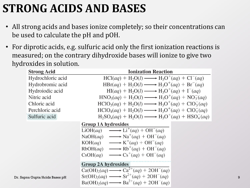## **STRONG ACIDS AND BASES**

- All strong acids and bases ionize completely; so their concentrations can be used to calculate the pH and pOH.
- For diprotic acids, e.g. sulfuric acid only the first ionization reactions is measured; on the contrary dihydroxide bases will ionize to give two hydroxides in solution.

| <b>Strong Acid</b>             | <b>Ionization Reaction</b>                                                                                                                                                                                                                                                                                                                                           |
|--------------------------------|----------------------------------------------------------------------------------------------------------------------------------------------------------------------------------------------------------------------------------------------------------------------------------------------------------------------------------------------------------------------|
| Hydrochloric acid              | $HCl(aq) + H_2O(l) \longrightarrow H_3O^+(aq) + Cl^-(aq)$                                                                                                                                                                                                                                                                                                            |
| Hydrobromic acid               | $HBr(aq) + H_2O(l) \longrightarrow H_3O^+(aq) + Br^-(aq)$                                                                                                                                                                                                                                                                                                            |
| Hydroiodic acid                | $HI(aq) + H_2O(l) \longrightarrow H_3O^+(aq) + I^-(aq)$                                                                                                                                                                                                                                                                                                              |
| Nitric acid                    | $HNO3(aq) + H2O(l) \longrightarrow H3O+(aq) + NO3(aq)$                                                                                                                                                                                                                                                                                                               |
| Chloric acid                   | $HClO3(aq) + H2O(l) \longrightarrow H3O+(aq) + ClO3-(aq)$                                                                                                                                                                                                                                                                                                            |
| Perchloric acid                | $HClO4(aq) + H2O(l) \longrightarrow H3O+(aq) + ClO4-(aq)$                                                                                                                                                                                                                                                                                                            |
| Sulfuric acid                  | $H_2SO_4(aq) + H_2O(l) \longrightarrow H_3O^+(aq) + HSO_4^-(aq)$                                                                                                                                                                                                                                                                                                     |
|                                | <b>Group 1A hydroxides</b><br>LiOH(aq) $\longrightarrow$ Li <sup>+</sup> (aq) + OH <sup>-</sup> (aq)<br>NaOH(aq) $\longrightarrow$ Na <sup>+</sup> (aq) + OH <sup>-</sup> (aq)<br>$KOH(aq) \longrightarrow K^+(aq) + OH^-(aq)$<br>$RbOH(aq) \longrightarrow Rb^+(aq) + OH^-(aq)$<br>$CSOH(aq) \longrightarrow Cs^{+}(aq) + OH^{-}(aq)$<br><b>Group 2A hydroxides</b> |
| Dr. Sapna Gupta/Acids Bases pH | $Ca(OH)_{2}(aq) \longrightarrow Ca^{2+}(aq) + 2OH^{-}(aq)$<br>$Sr(OH)2(aq) \longrightarrow Sr^{2+}(aq) + 2OH^{-}(aq)$<br>$Ba(OH)2(aq) \longrightarrow Ba^{2+}(aq) + 2OH^{-}(aq)$                                                                                                                                                                                     |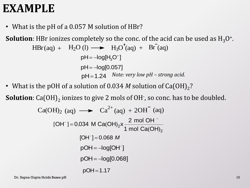#### **EXAMPLE**

• What is the pH of a 0.057 M solution of HBr?

**Solution**: HBr ionizes completely so the conc. of the acid can be used as  $\mathrm{H}_3\mathrm{O}^*$ . *Note: very low pH – strong acid.* 3  $=-log[H<sub>3</sub>O<sup>+</sup>]$  $pH = -log[0.057]$  $HBr(aq) + H_2O(l) \longrightarrow H_3O^{\dagger}(aq) + Br(aq)$ 

• What is the pOH of a solution of 0.034  $M$  solution of Ca(OH) $_2$ ?

pH = -log[H<sub>3</sub>O<sup>+</sup>]  
\nph = -log[0.057]  
\nph = 1.24 *Note: very low pH - strong acid.*  
\n• What is the pOH of a solution of 0.034 *M* solution of Ca(OH)<sub>2</sub>?  
\n**Solution:** Ca(OH)<sub>2</sub> ionizes to give 2 mols of OH<sup>+</sup>, so conc. has to be doubled.  
\nCa(OH)<sub>2</sub> (aq) 
$$
\longrightarrow
$$
 Ca<sup>2+</sup> (aq) + 2OH<sup>-</sup> (aq)  
\n[OH<sup>-</sup>] = 0.034 M Ca(OH)<sub>2</sub>x  $\frac{2 \text{ mol OH}^{-}}{1 \text{ mol Ca(OH)}_{2}}$   
\n[OH<sup>-</sup>] = 0.068 *M*  
\npOH = -log[OH<sup>-</sup>]  
\npOH = -log[0.068]  
\npOH = 1.17  
\nDr. Sappa Gupta/Acids Bases pH  
\n10